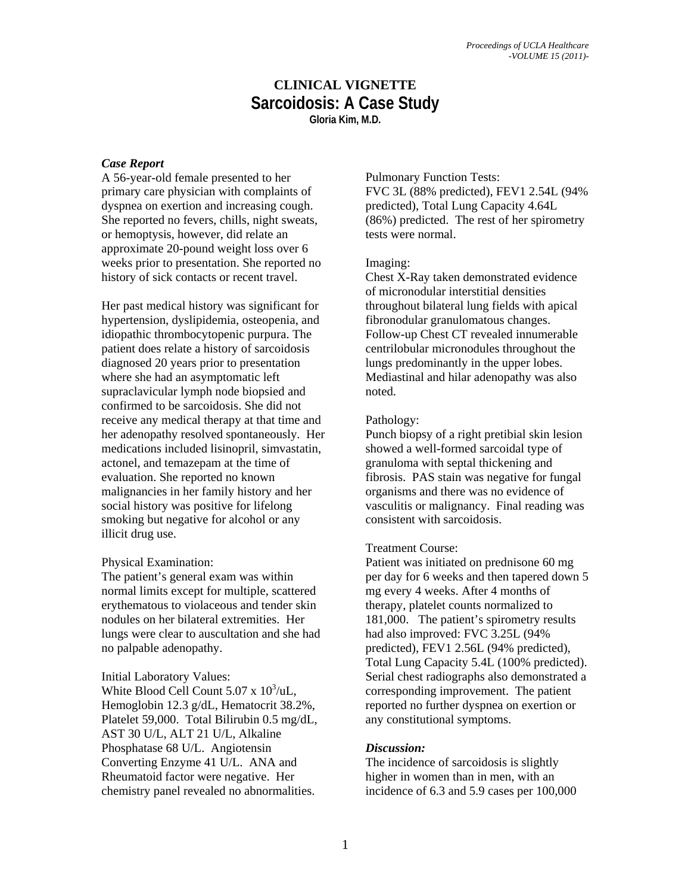### **CLINICAL VIGNETTE Sarcoidosis: A Case Study Gloria Kim, M.D.**

### *Case Report*

A 56-year-old female presented to her primary care physician with complaints of dyspnea on exertion and increasing cough. She reported no fevers, chills, night sweats, or hemoptysis, however, did relate an approximate 20-pound weight loss over 6 weeks prior to presentation. She reported no history of sick contacts or recent travel.

Her past medical history was significant for hypertension, dyslipidemia, osteopenia, and idiopathic thrombocytopenic purpura. The patient does relate a history of sarcoidosis diagnosed 20 years prior to presentation where she had an asymptomatic left supraclavicular lymph node biopsied and confirmed to be sarcoidosis. She did not receive any medical therapy at that time and her adenopathy resolved spontaneously. Her medications included lisinopril, simvastatin, actonel, and temazepam at the time of evaluation. She reported no known malignancies in her family history and her social history was positive for lifelong smoking but negative for alcohol or any illicit drug use.

#### Physical Examination:

The patient's general exam was within normal limits except for multiple, scattered erythematous to violaceous and tender skin nodules on her bilateral extremities. Her lungs were clear to auscultation and she had no palpable adenopathy.

Initial Laboratory Values: White Blood Cell Count  $5.07 \times 10^3/\text{uL}$ , Hemoglobin 12.3 g/dL, Hematocrit 38.2%, Platelet 59,000. Total Bilirubin 0.5 mg/dL, AST 30 U/L, ALT 21 U/L, Alkaline Phosphatase 68 U/L. Angiotensin Converting Enzyme 41 U/L. ANA and Rheumatoid factor were negative. Her chemistry panel revealed no abnormalities.

#### Pulmonary Function Tests:

FVC 3L (88% predicted), FEV1 2.54L (94% predicted), Total Lung Capacity 4.64L (86%) predicted. The rest of her spirometry tests were normal.

#### Imaging:

Chest X-Ray taken demonstrated evidence of micronodular interstitial densities throughout bilateral lung fields with apical fibronodular granulomatous changes. Follow-up Chest CT revealed innumerable centrilobular micronodules throughout the lungs predominantly in the upper lobes. Mediastinal and hilar adenopathy was also noted.

#### Pathology:

Punch biopsy of a right pretibial skin lesion showed a well-formed sarcoidal type of granuloma with septal thickening and fibrosis. PAS stain was negative for fungal organisms and there was no evidence of vasculitis or malignancy. Final reading was consistent with sarcoidosis.

#### Treatment Course:

Patient was initiated on prednisone 60 mg per day for 6 weeks and then tapered down 5 mg every 4 weeks. After 4 months of therapy, platelet counts normalized to 181,000. The patient's spirometry results had also improved: FVC 3.25L (94% predicted), FEV1 2.56L (94% predicted), Total Lung Capacity 5.4L (100% predicted). Serial chest radiographs also demonstrated a corresponding improvement. The patient reported no further dyspnea on exertion or any constitutional symptoms.

#### *Discussion:*

The incidence of sarcoidosis is slightly higher in women than in men, with an incidence of 6.3 and 5.9 cases per 100,000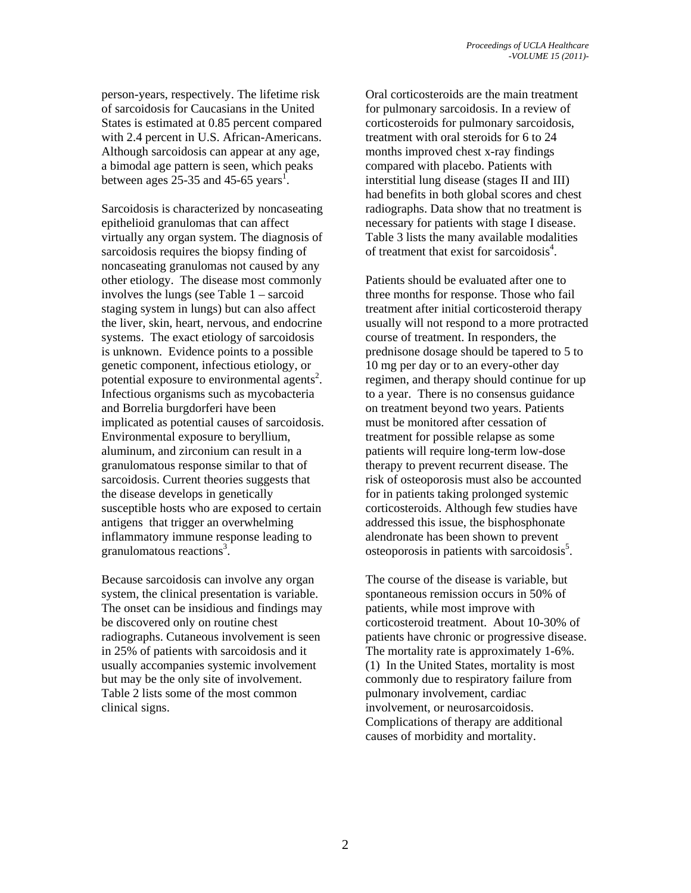person-years, respectively. The lifetime risk of sarcoidosis for Caucasians in the United States is estimated at 0.85 percent compared with 2.4 percent in U.S. African-Americans. Although sarcoidosis can appear at any age, a bimodal age pattern is seen, which peaks between ages  $25-35$  and 45-65 years<sup>1</sup>.

Sarcoidosis is characterized by noncaseating epithelioid granulomas that can affect virtually any organ system. The diagnosis of sarcoidosis requires the biopsy finding of noncaseating granulomas not caused by any other etiology. The disease most commonly involves the lungs (see Table 1 – sarcoid staging system in lungs) but can also affect the liver, skin, heart, nervous, and endocrine systems. The exact etiology of sarcoidosis is unknown. Evidence points to a possible genetic component, infectious etiology, or potential exposure to environmental agents<sup>2</sup>. Infectious organisms such as mycobacteria and Borrelia burgdorferi have been implicated as potential causes of sarcoidosis. Environmental exposure to beryllium, aluminum, and zirconium can result in a granulomatous response similar to that of sarcoidosis. Current theories suggests that the disease develops in genetically susceptible hosts who are exposed to certain antigens that trigger an overwhelming inflammatory immune response leading to granulomatous reactions<sup>3</sup>.

Because sarcoidosis can involve any organ system, the clinical presentation is variable. The onset can be insidious and findings may be discovered only on routine chest radiographs. Cutaneous involvement is seen in 25% of patients with sarcoidosis and it usually accompanies systemic involvement but may be the only site of involvement. Table 2 lists some of the most common clinical signs.

Oral corticosteroids are the main treatment for pulmonary sarcoidosis. In a review of corticosteroids for pulmonary sarcoidosis, treatment with oral steroids for 6 to 24 months improved chest x-ray findings compared with placebo. Patients with interstitial lung disease (stages II and III) had benefits in both global scores and chest radiographs. Data show that no treatment is necessary for patients with stage I disease. Table 3 lists the many available modalities of treatment that exist for sarcoidosis<sup>4</sup>.

Patients should be evaluated after one to three months for response. Those who fail treatment after initial corticosteroid therapy usually will not respond to a more protracted course of treatment. In responders, the prednisone dosage should be tapered to 5 to 10 mg per day or to an every-other day regimen, and therapy should continue for up to a year. There is no consensus guidance on treatment beyond two years. Patients must be monitored after cessation of treatment for possible relapse as some patients will require long-term low-dose therapy to prevent recurrent disease. The risk of osteoporosis must also be accounted for in patients taking prolonged systemic corticosteroids. Although few studies have addressed this issue, the bisphosphonate alendronate has been shown to prevent  $o$ steoporosis in patients with sarcoidosis<sup>5</sup>.

The course of the disease is variable, but spontaneous remission occurs in 50% of patients, while most improve with corticosteroid treatment. About 10-30% of patients have chronic or progressive disease. The mortality rate is approximately 1-6%. (1) In the United States, mortality is most commonly due to respiratory failure from pulmonary involvement, cardiac involvement, or neurosarcoidosis. Complications of therapy are additional causes of morbidity and mortality.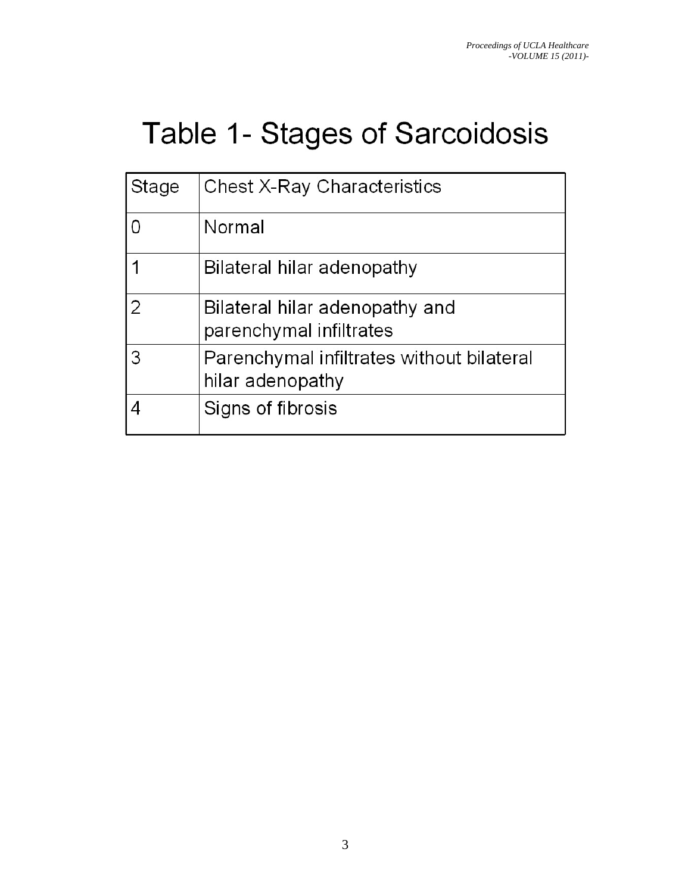# Table 1- Stages of Sarcoidosis

| Stage | <b>Chest X-Ray Characteristics</b>                            |
|-------|---------------------------------------------------------------|
|       | Normal                                                        |
|       | Bilateral hilar adenopathy                                    |
| 2     | Bilateral hilar adenopathy and<br>parenchymal infiltrates     |
| 3     | Parenchymal infiltrates without bilateral<br>hilar adenopathy |
|       | Signs of fibrosis                                             |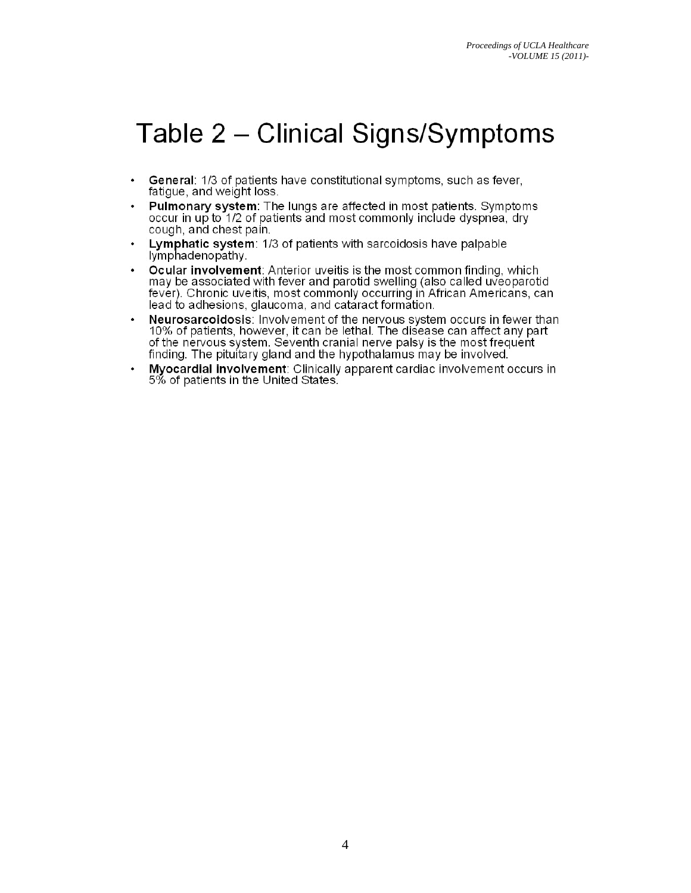### Table 2 – Clinical Signs/Symptoms

- General: 1/3 of patients have constitutional symptoms, such as fever,  $\bullet$ fatigue, and weight loss.
- Pulmonary system: The lungs are affected in most patients. Symptoms occur in up to 1/2 of patients and most commonly include dyspnea, dry cough, and chest pain.
- Lymphatic system: 1/3 of patients with sarcoidosis have palpable lymphadenopathy.
- Ocular involvement: Anterior uveitis is the most common finding, which may be associated with fever and parotid swelling (also called uveoparotid fever). Chronic uveitis, most commonly occurring in African Americans, can lead to adhesions, glaucoma, and cataract formation.
- Neurosarcoidosis: Involvement of the nervous system occurs in fewer than 10% of patients, however, it can be lethal. The disease can affect any part of the nervous system. Seventh cranial nerve palsy is the most frequent finding. The pituitary gland and the hypothalamus may be involved.
- Myocardial involvement: Clinically apparent cardiac involvement occurs in 5% of patients in the United States.